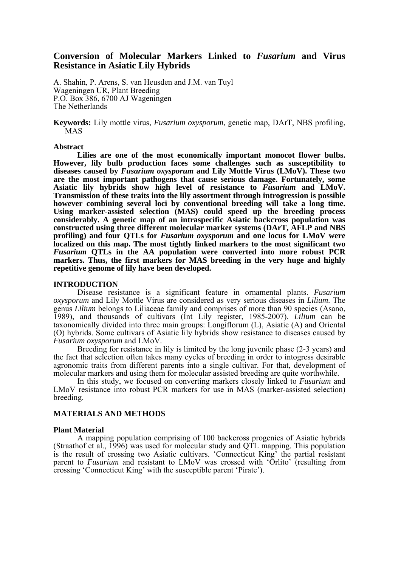# **Conversion of Molecular Markers Linked to** *Fusarium* **and Virus Resistance in Asiatic Lily Hybrids**

A. Shahin, P. Arens, S. van Heusden and J.M. van Tuyl Wageningen UR, Plant Breeding P.O. Box 386, 6700 AJ Wageningen The Netherlands

**Keywords:** Lily mottle virus, *Fusarium oxysporum*, genetic map, DArT, NBS profiling, MAS

#### **Abstract**

**Lilies are one of the most economically important monocot flower bulbs. However, lily bulb production faces some challenges such as susceptibility to diseases caused by** *Fusarium oxysporum* **and Lily Mottle Virus (LMoV). These two are the most important pathogens that cause serious damage. Fortunately, some Asiatic lily hybrids show high level of resistance to** *Fusarium* **and LMoV. Transmission of these traits into the lily assortment through introgression is possible however combining several loci by conventional breeding will take a long time.**  Using marker-assisted selection (MAS) could speed up the breeding process **considerably. A genetic map of an intraspecific Asiatic backcross population was constructed using three different molecular marker systems (DArT, AFLP and NBS profiling) and four QTLs for** *Fusarium oxysporum* **and one locus for LMoV were localized on this map. The most tightly linked markers to the most significant two** *Fusarium* **QTLs in the AA population were converted into more robust PCR markers. Thus, the first markers for MAS breeding in the very huge and highly repetitive genome of lily have been developed.** 

#### **INTRODUCTION**

Disease resistance is a significant feature in ornamental plants. *Fusarium oxysporum* and Lily Mottle Virus are considered as very serious diseases in *Lilium*. The genus *Lilium* belongs to Liliaceae family and comprises of more than 90 species (Asano, 1989), and thousands of cultivars (Int Lily register, 1985-2007). *Lilium* can be taxonomically divided into three main groups: Longiflorum (L), Asiatic (A) and Oriental (O) hybrids. Some cultivars of Asiatic lily hybrids show resistance to diseases caused by *Fusarium oxysporum* and LMoV.

Breeding for resistance in lily is limited by the long juvenile phase (2-3 years) and the fact that selection often takes many cycles of breeding in order to intogress desirable agronomic traits from different parents into a single cultivar. For that, development of molecular markers and using them for molecular assisted breeding are quite worthwhile.

In this study, we focused on converting markers closely linked to *Fusarium* and LMoV resistance into robust PCR markers for use in MAS (marker-assisted selection) breeding.

## **MATERIALS AND METHODS**

#### **Plant Material**

A mapping population comprising of 100 backcross progenies of Asiatic hybrids (Straathof et al., 1996) was used for molecular study and QTL mapping. This population is the result of crossing two Asiatic cultivars. 'Connecticut King' the partial resistant parent to *Fusarium* and resistant to LMoV was crossed with 'Orlito' (resulting from crossing 'Connecticut King' with the susceptible parent 'Pirate').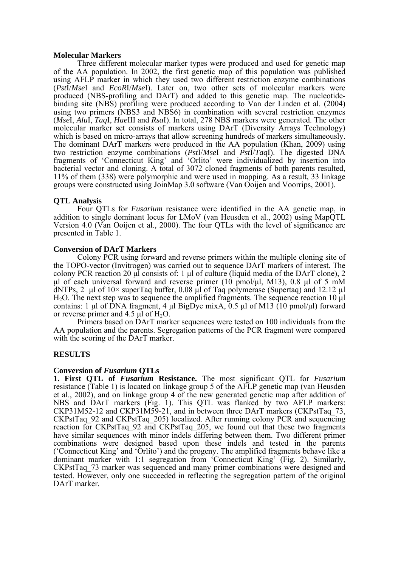## **Molecular Markers**

Three different molecular marker types were produced and used for genetic map of the AA population. In 2002, the first genetic map of this population was published using AFLP marker in which they used two different restriction enzyme combinations (*Pst*I/*Mse*I and *EcoR*I/*Mse*I). Later on, two other sets of molecular markers were produced (NBS-profiling and DArT) and added to this genetic map. The nucleotidebinding site (NBS) profiling were produced according to Van der Linden et al. (2004) using two primers (NBS3 and NBS6) in combination with several restriction enzymes (*Mse*I, *Alu*I, *Taq*I, *Hae*III and *Rsa*I). In total, 278 NBS markers were generated. The other molecular marker set consists of markers using DArT (Diversity Arrays Technology) which is based on micro-arrays that allow screening hundreds of markers simultaneously. The dominant DArT markers were produced in the AA population (Khan, 2009) using two restriction enzyme combinations (*Pst*I/*Mse*I and *Pst*I/*Taq*I). The digested DNA fragments of 'Connecticut King' and 'Orlito' were individualized by insertion into bacterial vector and cloning. A total of 3072 cloned fragments of both parents resulted, 11% of them (338) were polymorphic and were used in mapping. As a result, 33 linkage groups were constructed using JoinMap 3.0 software (Van Ooijen and Voorrips, 2001).

# **QTL Analysis**

Four QTLs for *Fusarium* resistance were identified in the AA genetic map, in addition to single dominant locus for LMoV (van Heusden et al., 2002) using MapQTL Version 4.0 (Van Ooijen et al., 2000). The four QTLs with the level of significance are presented in Table 1.

## **Conversion of DArT Markers**

Colony PCR using forward and reverse primers within the multiple cloning site of the TOPO-vector (Invitrogen) was carried out to sequence DArT markers of interest. The colony PCR reaction 20 μl consists of: 1 μl of culture (liquid media of the DArT clone), 2 μl of each universal forward and reverse primer (10 pmol/μl, M13), 0.8 μl of 5 mM dNTPs, 2 μl of  $10\times$  superTaq buffer, 0.08 μl of Taq polymerase (Supertaq) and 12.12 μl H2O. The next step was to sequence the amplified fragments. The sequence reaction 10 μl contains: 1 μl of DNA fragment, 4 μl BigDye mixA,  $0.5$  μl of M13 (10 pmol/μl) forward or reverse primer and  $4.5 \mu l$  of  $H_2O$ .

Primers based on DArT marker sequences were tested on 100 individuals from the AA population and the parents. Segregation patterns of the PCR fragment were compared with the scoring of the DArT marker.

## **RESULTS**

## **Conversion of** *Fusarium* **QTLs**

**1. First QTL of** *Fusarium* **Resistance.** The most significant QTL for *Fusarium* resistance (Table 1) is located on linkage group 5 of the AFLP genetic map (van Heusden et al., 2002), and on linkage group 4 of the new generated genetic map after addition of NBS and DArT markers (Fig. 1). This QTL was flanked by two AFLP markers: CKP31M52-12 and CKP31M59-21, and in between three DArT markers (CKPstTaq\_73, CKPstTaq\_92 and CKPstTaq\_205) localized. After running colony PCR and sequencing reaction for CKPstTaq\_92 and CKPstTaq\_205, we found out that these two fragments have similar sequences with minor indels differing between them. Two different primer combinations were designed based upon these indels and tested in the parents ('Connecticut King' and 'Orlito') and the progeny. The amplified fragments behave like a dominant marker with 1:1 segregation from 'Connecticut King' (Fig. 2). Similarly, CKPstTaq\_73 marker was sequenced and many primer combinations were designed and tested. However, only one succeeded in reflecting the segregation pattern of the original DArT marker.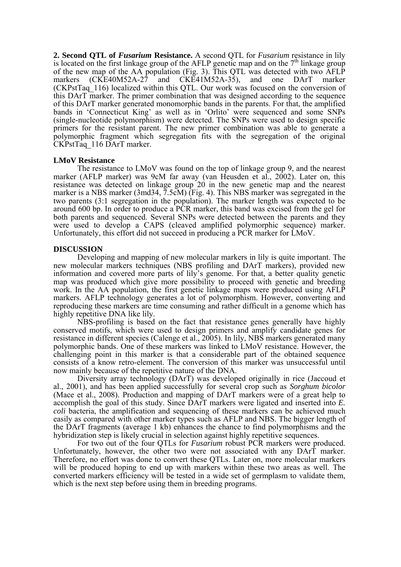**2. Second QTL of** *Fusarium* **Resistance.** A second QTL for *Fusarium* resistance in lily is located on the first linkage group of the AFLP genetic map and on the  $7<sup>th</sup>$  linkage group of the new map of the AA population (Fig. 3). This QTL was detected with two AFLP markers (CKE40M52A-27 and CKE41M52A-35), and one DArT marker (CKPstTaq\_116) localized within this QTL. Our work was focused on the conversion of this DArT marker. The primer combination that was designed according to the sequence of this DArT marker generated monomorphic bands in the parents. For that, the amplified bands in 'Connecticut King' as well as in 'Orlito' were sequenced and some SNPs (single-nucleotide polymorphism) were detected. The SNPs were used to design specific primers for the resistant parent. The new primer combination was able to generate a polymorphic fragment which segregation fits with the segregation of the original CKPstTaq\_116 DArT marker.

#### **LMoV Resistance**

The resistance to LMoV was found on the top of linkage group 9, and the nearest marker (AFLP marker) was 9cM far away (van Heusden et al., 2002). Later on, this resistance was detected on linkage group 20 in the new genetic map and the nearest marker is a NBS marker (3md34, 7.5cM) (Fig. 4). This NBS marker was segregated in the two parents (3:1 segregation in the population). The marker length was expected to be around 600 bp. In order to produce a PCR marker, this band was excised from the gel for both parents and sequenced. Several SNPs were detected between the parents and they were used to develop a CAPS (cleaved amplified polymorphic sequence) marker. Unfortunately, this effort did not succeed in producing a PCR marker for LMoV.

## **DISCUSSION**

Developing and mapping of new molecular markers in lily is quite important. The new molecular markers techniques (NBS profiling and DArT markers), provided new information and covered more parts of lily's genome. For that, a better quality genetic map was produced which give more possibility to proceed with genetic and breeding work. In the AA population, the first genetic linkage maps were produced using AFLP markers. AFLP technology generates a lot of polymorphism. However, converting and reproducing these markers are time consuming and rather difficult in a genome which has highly repetitive DNA like lily.

NBS-profiling is based on the fact that resistance genes generally have highly conserved motifs, which were used to design primers and amplify candidate genes for resistance in different species (Calenge et al., 2005). In lily, NBS markers generated many polymorphic bands. One of these markers was linked to LMoV resistance. However, the challenging point in this marker is that a considerable part of the obtained sequence consists of a know retro-element. The conversion of this marker was unsuccessful until now mainly because of the repetitive nature of the DNA.

Diversity array technology (DArT) was developed originally in rice (Jaccoud et al., 2001), and has been applied successfully for several crop such as *Sorghum bicolor* (Mace et al., 2008). Production and mapping of DArT markers were of a great help to accomplish the goal of this study. Since DArT markers were ligated and inserted into *E. coli* bacteria, the amplification and sequencing of these markers can be achieved much easily as compared with other marker types such as AFLP and NBS. The bigger length of the DArT fragments (average 1 kb) enhances the chance to find polymorphisms and the hybridization step is likely crucial in selection against highly repetitive sequences.

For two out of the four QTLs for *Fusarium* robust PCR markers were produced. Unfortunately, however, the other two were not associated with any DArT marker. Therefore, no effort was done to convert these QTLs. Later on, more molecular markers will be produced hoping to end up with markers within these two areas as well. The converted markers efficiency will be tested in a wide set of germplasm to validate them, which is the next step before using them in breeding programs.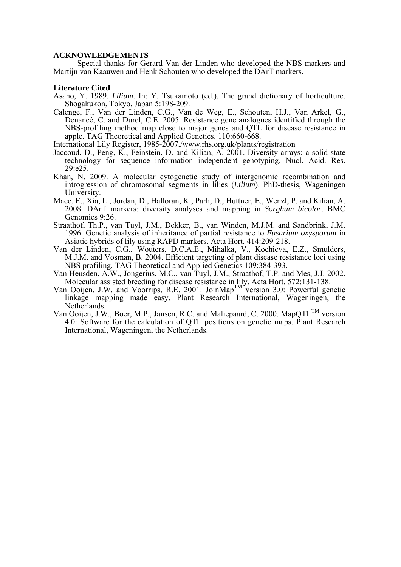#### **ACKNOWLEDGEMENTS**

Special thanks for Gerard Van der Linden who developed the NBS markers and Martijn van Kaauwen and Henk Schouten who developed the DArT markers**.** 

#### **Literature Cited**

- Asano, Y. 1989. *Lilium*. In: Y. Tsukamoto (ed.), The grand dictionary of horticulture. Shogakukon, Tokyo, Japan 5:198-209.
- Calenge, F., Van der Linden, C.G., Van de Weg, E., Schouten, H.J., Van Arkel, G., Denancé, C. and Durel, C.E. 2005. Resistance gene analogues identified through the NBS-profiling method map close to major genes and QTL for disease resistance in apple. TAG Theoretical and Applied Genetics. 110:660-668.

International Lily Register, 1985-2007./www.rhs.org.uk/plants/registration

- Jaccoud, D., Peng, K., Feinstein, D. and Kilian, A. 2001. Diversity arrays: a solid state technology for sequence information independent genotyping. Nucl. Acid. Res. 29:e25.
- Khan, N. 2009. A molecular cytogenetic study of intergenomic recombination and introgression of chromosomal segments in lilies (*Lilium*). PhD-thesis, Wageningen University.
- Mace, E., Xia, L., Jordan, D., Halloran, K., Parh, D., Huttner, E., Wenzl, P. and Kilian, A. 2008. DArT markers: diversity analyses and mapping in *Sorghum bicolor*. BMC Genomics 9:26.
- Straathof, Th.P., van Tuyl, J.M., Dekker, B., van Winden, M.J.M. and Sandbrink, J.M. 1996. Genetic analysis of inheritance of partial resistance to *Fusarium oxysporum* in Asiatic hybrids of lily using RAPD markers. Acta Hort. 414:209-218.
- Van der Linden, C.G., Wouters, D.C.A.E., Mihalka, V., Kochieva, E.Z., Smulders, M.J.M. and Vosman, B. 2004. Efficient targeting of plant disease resistance loci using NBS profiling. TAG Theoretical and Applied Genetics 109:384-393.
- Van Heusden, A.W., Jongerius, M.C., van Tuyl, J.M., Straathof, T.P. and Mes, J.J. 2002. Molecular assisted breeding for disease resistance in lily. Acta Hort. 572:131-138.
- Van Ooijen, J.W. and Voorrips, R.E. 2001. JoinMap<sup>TM</sup> version 3.0: Powerful genetic linkage mapping made easy. Plant Research International, Wageningen, the Netherlands.
- Van Ooijen, J.W., Boer, M.P., Jansen, R.C. and Maliepaard, C. 2000. MapQTL<sup>TM</sup> version 4.0: Software for the calculation of QTL positions on genetic maps. Plant Research International, Wageningen, the Netherlands.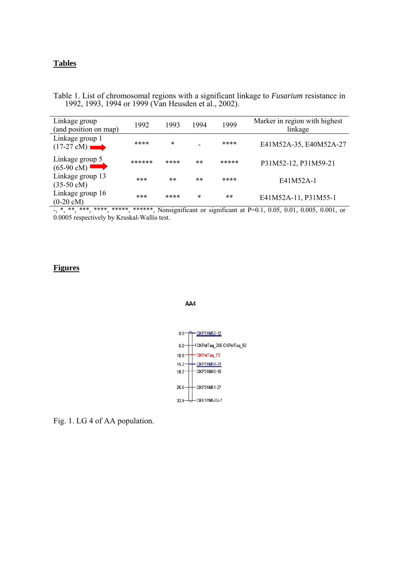# **Tables**

Table 1. List of chromosomal regions with a significant linkage to *Fusarium* resistance in 1992, 1993, 1994 or 1999 (Van Heusden et al., 2002).

| Linkage group<br>(and position on map)   | 1992   | 1993   | 1994  | 1999  | Marker in region with highest<br>linkage |
|------------------------------------------|--------|--------|-------|-------|------------------------------------------|
| Linkage group 1<br>$(17-27 \text{ cM})$  | ****   | $\ast$ |       | ****  | E41M52A-35, E40M52A-27                   |
| Linkage group 5<br>$(65-90 \text{ cM})$  | ****** | ****   | $***$ | ***** | P31M52-12, P31M59-21                     |
| Linkage group 13<br>$(35-50 \text{ cM})$ | ***    | $***$  | $***$ | ****  | E41M52A-1                                |
| Linkage group 16<br>$(0-20 \text{ cM})$  | ***    | ****   | *     | $***$ | E41M52A-11, P31M55-1                     |

-, \*, \*\*, \*\*\*, \*\*\*\*, \*\*\*\*\*, \*\*\*\*\*\*, Nonsignificant or significant at P=0.1, 0.05, 0.01, 0.005, 0.001, or 0.0005 respectively by Kruskal-Wallis test.

# **Figures**

#### AA4



Fig. 1. LG 4 of AA population.